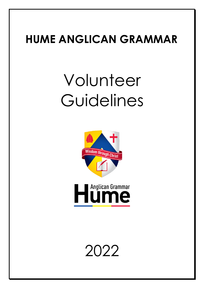## **HUME ANGLICAN GRAMMAR**

# Volunteer Guidelines





2022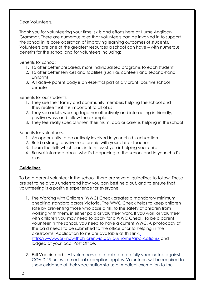Dear Volunteers,

Thank you for volunteering your time, skills and efforts here at Hume Anglican Grammar. There are numerous roles that volunteers can be involved in to support the school in its core operation of improving learning outcomes of students. Volunteers are one of the greatest resources a school can have – with numerous benefits for the school and for volunteers including:

Benefits for school:

- 1. To offer better prepared, more individualised programs to each student
- 2. To offer better services and facilities (such as canteen and second-hand uniform)
- 3. An active parent body is an essential part of a vibrant, positive school climate

Benefits for our students:

- 1. They see their family and community members helping the school and they realise that it is important to all of us
- 2. They see adults working together effectively and interacting in friendly, positive ways and follow the example
- 3. They feel really special when their mum, dad or carer is helping in theschool

Benefits for volunteers:

- 1. An opportunity to be actively involved in your child's education
- 2. Build a strong, positive relationship with your child'steacher
- 3. Learn the skills which can, in turn, assist you inhelping your child
- 4. Be well informed about what's happening at the school and in your child's class

#### **Guidelines**

To be a parent volunteer inthe school, there are several guidelines to follow. These are set to help you understand how you can best help out, and to ensure that volunteering is a positive experience for everyone.

- 1. The Working with Children (WWC) Check creates a mandatory minimum checking standard across Victoria. The WWC Check helps to keep children safe by preventing those who pose a risk to the safety of children from working with them, in either paid or volunteer work. If you work or volunteer with children you may need to apply for a WWC Check. To be a parent volunteer in the school, you need to have a current WWC. A photocopy of the card needs to be submitted to the office prior to helping in the classrooms. Application forms are available at this link: <http://www.workingwithchildren.vic.gov.au/home/applications/> and lodged at your local Post Office.
- 2. Full Vaccinated All volunteers are required to be fully vaccinated against COVID-19 unless a medical exemption applies. Volunteers will be required to show evidence of their vaccination status or medical exemption to the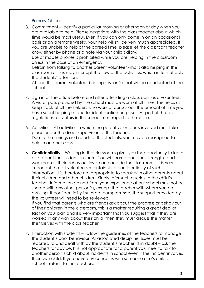#### Primary Office.

3. Commitment – Identify a particular morning or afternoon or day when you are available to help. Please negotiate with the class teacher about which time would be most useful. Even if you can only come in on an occasional basis or on alternate weeks, your help will still be very much appreciated. If you are unable to help at the agreed time, please let the classroom teacher know either by phone or a note via your child's diary.

Use of mobile phones is prohibited while you are helping in the classroom unless in the case of an emergency.

Refrain from talking to another parent volunteer who is also helping in the classroom as this may interrupt the flow of the activities, which in turn affects the students' attention.

Attend the parent volunteer briefing session(s) that will be conducted at the school.

- 4. Sign in at the office before and after attending a classroom as a volunteer. A visitor pass provided by the school must be worn at all times. This helps us keep track of all the helpers who work at our school, the amount of timeyou have spent helping us and for identification purposes. As part of the fire regulations, all visitors in the school must report to theoffice.
- 5. Activities All activities in which the parent volunteer is involved musttake place under the direct supervision of the teacher. Due to the timings and needs of the students, you may be reassigned to help in another class.
- 6. **Confidentiality**  Working in the classrooms gives you theopportunity to learn a lot about the students in them. You will learn about their strengths and weaknesses, their behaviour inside and outside the classrooms. It is very important that all volunteers maintain strict confidentiality of such information. It is therefore not appropriate to speak with other parents about their children and other children. Kindly refer such queries to the child's teacher. Information gained from your experience at our school must not be shared with any other person(s), except the teacher with whom you are assisting. If confidentiality issues are compromised, the support provided by the volunteer will need to be reviewed.

If you find that parents who are friends ask about the progress or behaviour of their children in the classroom, this is a matter requiring a great deal of tact on your part and it is very important that you suggest that if they are worried in any way about their child, then they must discuss the matter themselves with the class teacher.

7. Interaction with students – Follow the guidelines of the teachers to manage the student's poor behaviour. All associated discipline issues must be reported to and dealt with by the student's teacher. If in doubt – ask the teachers for advice. It is not appropriate for a parent volunteer to talk to another person's child about incidents in school even if the incidentinvolves their own child. If you have any concerns with someone else's child at school – refer it to the teachers.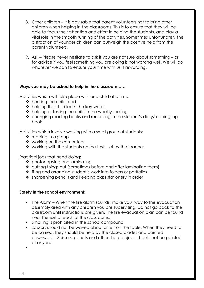- 8. Other children It is advisable that parent volunteers not to bring other children when helping in the classrooms. This is to ensure that they will be able to focus their attention and effort in helping the students, and play a vital role in the smooth running of the activities. Sometimes unfortunately,the distraction of younger children can outweigh the positive help from the parent volunteers.
- 9. Ask Please never hesitate to ask if you are not sure about something or for advice if you feel something you are doing is not working well. We will do whatever we can to ensure your time with us is rewarding.

#### **Ways you may be asked to help in the classroom……**

Activities which will take place with one child at a time:

- ❖ hearing the child read
- ❖ helping the child learn the key words
- $\triangle$  helping or testing the child in the weekly spelling
- ❖ changing reading books and recording in the student's diary/reading log book

Activities which involve working with a small group of students:

- ❖ reading in a group
- ❖ working on the computers
- ❖ working with the students on the tasks set by the teacher

Practical jobs that need doing:

- ❖ photocopying and laminating
- ❖ cutting things out (sometimes before and after laminating them)
- ❖ filing and arranging student's work into folders or portfolios
- ❖ sharpening pencils and keeping class stationery in order

#### **Safety in the school environment:**

- Fire Alarm When the fire alarm sounds, make your way to the evacuation assembly area with any children you are supervising. Do not go back to the classroom until instructions are given. The fire evacuation plan can be found near the exit of each of the classrooms.
- Smoking is prohibited in the school compound.
- Scissors should not be waved about or left on the table. When they need to be carried, they should be held by the closed blades and pointed downwards. Scissors, pencils and other sharp objects should not be pointed at anyone.

- 4 -

▪